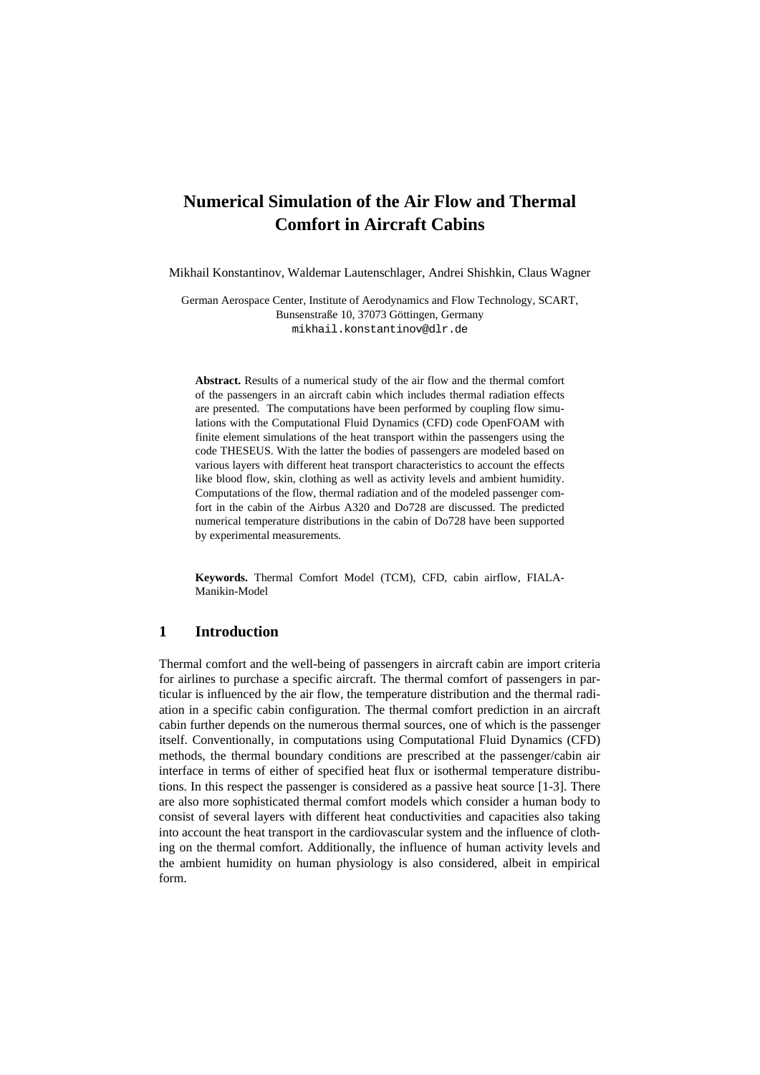# **Numerical Simulation of the Air Flow and Thermal Comfort in Aircraft Cabins**

Mikhail Konstantinov, Waldemar Lautenschlager, Andrei Shishkin, Claus Wagner

German Aerospace Center, Institute of Aerodynamics and Flow Technology, SCART, Bunsenstraße 10, 37073 Göttingen, Germany [mikhail.konstantinov@dlr.de](mailto:mikhail.konstantinov@dlr.de)

**Abstract.** Results of a numerical study of the air flow and the thermal comfort of the passengers in an aircraft cabin which includes thermal radiation effects are presented. The computations have been performed by coupling flow simulations with the Computational Fluid Dynamics (CFD) code OpenFOAM with finite element simulations of the heat transport within the passengers using the code THESEUS. With the latter the bodies of passengers are modeled based on various layers with different heat transport characteristics to account the effects like blood flow, skin, clothing as well as activity levels and ambient humidity. Computations of the flow, thermal radiation and of the modeled passenger comfort in the cabin of the Airbus A320 and Do728 are discussed. The predicted numerical temperature distributions in the cabin of Do728 have been supported by experimental measurements.

**Keywords.** Thermal Comfort Model (TCM), CFD, cabin airflow, FIALA-Manikin-Model

# **1 Introduction**

Thermal comfort and the well-being of passengers in aircraft cabin are import criteria for airlines to purchase a specific aircraft. The thermal comfort of passengers in particular is influenced by the air flow, the temperature distribution and the thermal radiation in a specific cabin configuration. The thermal comfort prediction in an aircraft cabin further depends on the numerous thermal sources, one of which is the passenger itself. Conventionally, in computations using Computational Fluid Dynamics (CFD) methods, the thermal boundary conditions are prescribed at the passenger/cabin air interface in terms of either of specified heat flux or isothermal temperature distributions. In this respect the passenger is considered as a passive heat source [1-3]. There are also more sophisticated thermal comfort models which consider a human body to consist of several layers with different heat conductivities and capacities also taking into account the heat transport in the cardiovascular system and the influence of clothing on the thermal comfort. Additionally, the influence of human activity levels and the ambient humidity on human physiology is also considered, albeit in empirical form.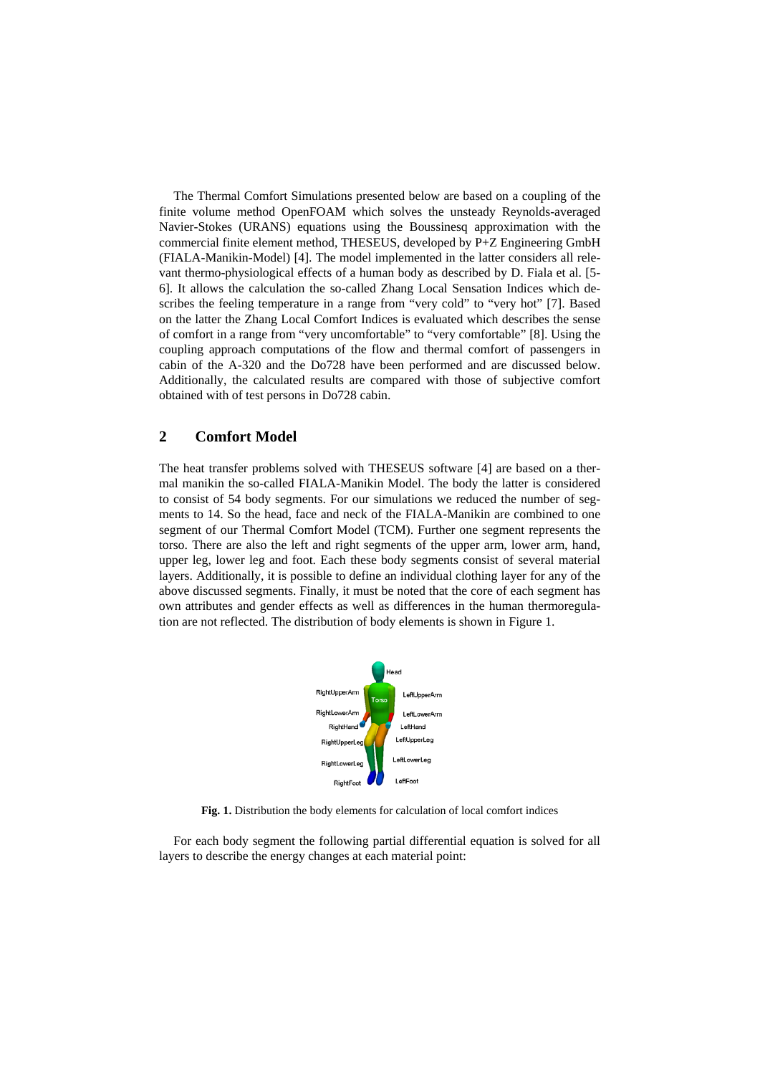The Thermal Comfort Simulations presented below are based on a coupling of the finite volume method OpenFOAM which solves the unsteady Reynolds-averaged Navier-Stokes (URANS) equations using the Boussinesq approximation with the commercial finite element method, THESEUS, developed by P+Z Engineering GmbH (FIALA-Manikin-Model) [4]. The model implemented in the latter considers all relevant thermo-physiological effects of a human body as described by D. Fiala et al. [5- 6]. It allows the calculation the so-called Zhang Local Sensation Indices which describes the feeling temperature in a range from "very cold" to "very hot" [7]. Based on the latter the Zhang Local Comfort Indices is evaluated which describes the sense of comfort in a range from "very uncomfortable" to "very comfortable" [8]. Using the coupling approach computations of the flow and thermal comfort of passengers in cabin of the A-320 and the Do728 have been performed and are discussed below. Additionally, the calculated results are compared with those of subjective comfort obtained with of test persons in Do728 cabin.

## **2 Comfort Model**

The heat transfer problems solved with THESEUS software [4] are based on a thermal manikin the so-called FIALA-Manikin Model. The body the latter is considered to consist of 54 body segments. For our simulations we reduced the number of segments to 14. So the head, face and neck of the FIALA-Manikin are combined to one segment of our Thermal Comfort Model (TCM). Further one segment represents the torso. There are also the left and right segments of the upper arm, lower arm, hand, upper leg, lower leg and foot. Each these body segments consist of several material layers. Additionally, it is possible to define an individual clothing layer for any of the above discussed segments. Finally, it must be noted that the core of each segment has own attributes and gender effects as well as differences in the human thermoregulation are not reflected. The distribution of body elements is shown in Figure 1.



**Fig. 1.** Distribution the body elements for calculation of local comfort indices

For each body segment the following partial differential equation is solved for all layers to describe the energy changes at each material point: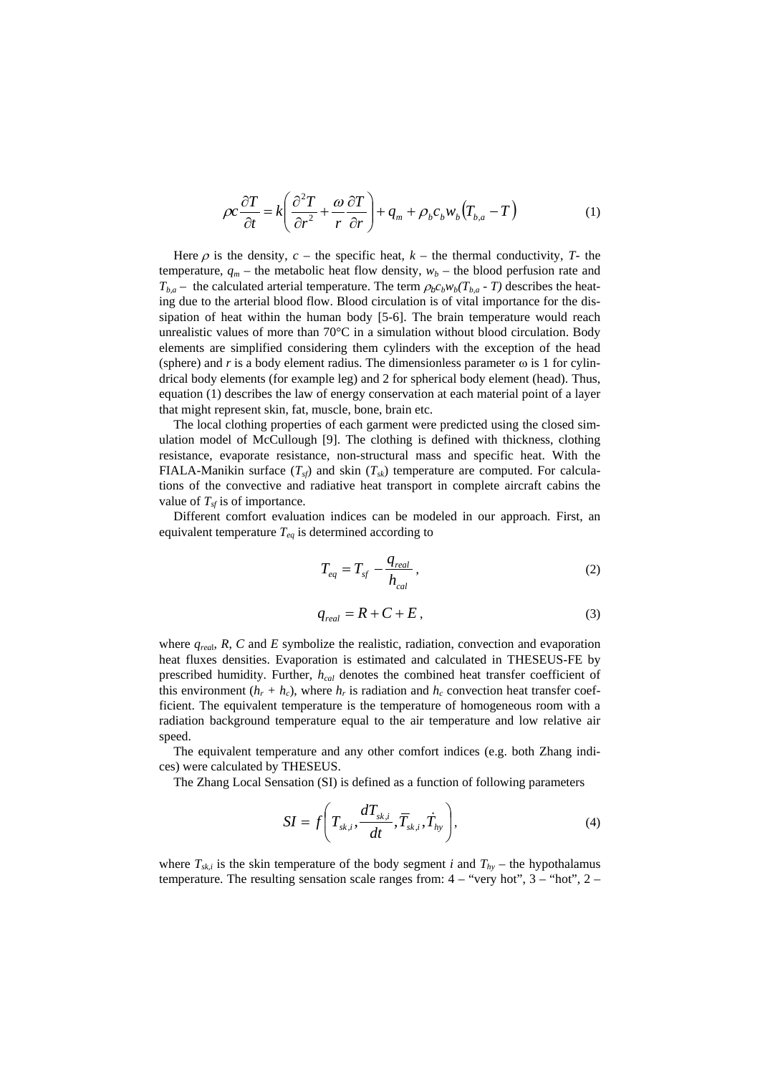$$
\rho c \frac{\partial T}{\partial t} = k \left( \frac{\partial^2 T}{\partial r^2} + \frac{\omega}{r} \frac{\partial T}{\partial r} \right) + q_m + \rho_b c_b w_b \left( T_{b,a} - T \right) \tag{1}
$$

Here  $\rho$  is the density,  $c$  – the specific heat,  $k$  – the thermal conductivity,  $T$ - the temperature,  $q_m$  – the metabolic heat flow density,  $w_b$  – the blood perfusion rate and  $T_{b,a}$  – the calculated arterial temperature. The term  $\rho_b c_b w_b(T_{b,a} - T)$  describes the heating due to the arterial blood flow. Blood circulation is of vital importance for the dissipation of heat within the human body [5-6]. The brain temperature would reach unrealistic values of more than  $70^{\circ}$ C in a simulation without blood circulation. Body elements are simplified considering them cylinders with the exception of the head (sphere) and  $r$  is a body element radius. The dimensionless parameter  $\omega$  is 1 for cylindrical body elements (for example leg) and 2 for spherical body element (head). Thus, equation (1) describes the law of energy conservation at each material point of a layer that might represent skin, fat, muscle, bone, brain etc.

The local clothing properties of each garment were predicted using the closed simulation model of McCullough [9]. The clothing is defined with thickness, clothing resistance, evaporate resistance, non-structural mass and specific heat. With the FIALA-Manikin surface  $(T_{sf})$  and skin  $(T_{sk})$  temperature are computed. For calculations of the convective and radiative heat transport in complete aircraft cabins the value of  $T_{sf}$  is of importance.

Different comfort evaluation indices can be modeled in our approach. First, an equivalent temperature  $T_{eq}$  is determined according to

$$
T_{eq} = T_{sf} - \frac{q_{real}}{h_{cal}},
$$
\n(2)

$$
q_{real} = R + C + E, \qquad (3)
$$

where  $q_{red}$ ,  $R$ ,  $C$  and  $E$  symbolize the realistic, radiation, convection and evaporation heat fluxes densities. Evaporation is estimated and calculated in THESEUS-FE by prescribed humidity. Further, *hcal* denotes the combined heat transfer coefficient of this environment  $(h_r + h_c)$ , where  $h_r$  is radiation and  $h_c$  convection heat transfer coefficient. The equivalent temperature is the temperature of homogeneous room with a radiation background temperature equal to the air temperature and low relative air speed.

The equivalent temperature and any other comfort indices (e.g. both Zhang indices) were calculated by THESEUS.

The Zhang Local Sensation (SI) is defined as a function of following parameters

$$
SI = f\left(T_{sk,i}, \frac{dT_{sk,i}}{dt}, \overline{T}_{sk,i}, \dot{T}_{hy}\right),\tag{4}
$$

where  $T_{sk,i}$  is the skin temperature of the body segment *i* and  $T_{hy}$  – the hypothalamus temperature. The resulting sensation scale ranges from:  $4 -$  "very hot",  $3 -$  "hot",  $2 -$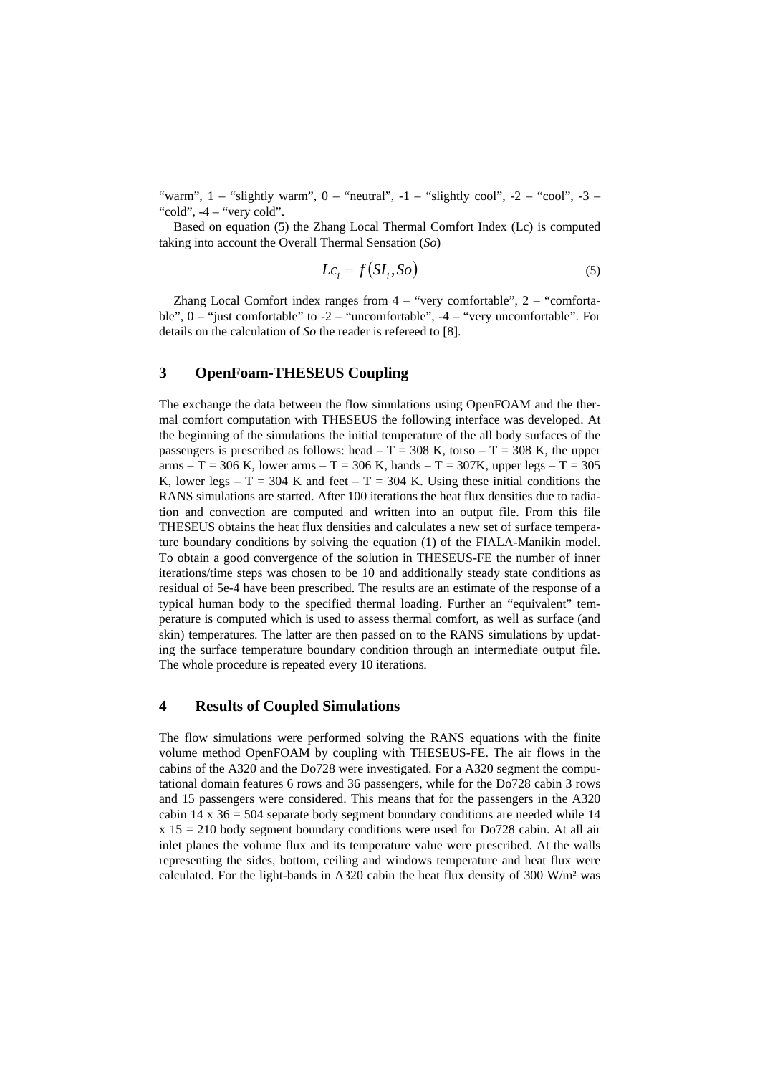"warm",  $1 -$  "slightly warm",  $0 -$  "neutral",  $-1 -$  "slightly cool",  $-2 -$  "cool",  $-3 -$ "cold",  $-4$  – "very cold".

Based on equation (5) the Zhang Local Thermal Comfort Index (Lc) is computed taking into account the Overall Thermal Sensation (*So*)

$$
Lc_i = f(SI_i, So)
$$
 (5)

Zhang Local Comfort index ranges from 4 – "very comfortable", 2 – "comfortable",  $0 -$ "just comfortable" to  $-2 -$ "uncomfortable",  $-4 -$ "very uncomfortable". For details on the calculation of *So* the reader is refereed to [8].

# **3 OpenFoam-THESEUS Coupling**

The exchange the data between the flow simulations using OpenFOAM and the thermal comfort computation with THESEUS the following interface was developed. At the beginning of the simulations the initial temperature of the all body surfaces of the passengers is prescribed as follows: head  $- T = 308$  K, torso  $- T = 308$  K, the upper arms – T = 306 K, lower arms – T = 306 K, hands – T = 307K, upper legs – T = 305 K, lower legs – T = 304 K and feet – T = 304 K. Using these initial conditions the RANS simulations are started. After 100 iterations the heat flux densities due to radiation and convection are computed and written into an output file. From this file THESEUS obtains the heat flux densities and calculates a new set of surface temperature boundary conditions by solving the equation (1) of the FIALA-Manikin model. To obtain a good convergence of the solution in THESEUS-FE the number of inner iterations/time steps was chosen to be 10 and additionally steady state conditions as residual of 5e-4 have been prescribed. The results are an estimate of the response of a typical human body to the specified thermal loading. Further an "equivalent" temperature is computed which is used to assess thermal comfort, as well as surface (and skin) temperatures. The latter are then passed on to the RANS simulations by updating the surface temperature boundary condition through an intermediate output file. The whole procedure is repeated every 10 iterations.

#### **4 Results of Coupled Simulations**

The flow simulations were performed solving the RANS equations with the finite volume method OpenFOAM by coupling with THESEUS-FE. The air flows in the cabins of the A320 and the Do728 were investigated. For a A320 segment the computational domain features 6 rows and 36 passengers, while for the Do728 cabin 3 rows and 15 passengers were considered. This means that for the passengers in the A320 cabin  $14 \times 36 = 504$  separate body segment boundary conditions are needed while 14  $x 15 = 210$  body segment boundary conditions were used for Do728 cabin. At all air inlet planes the volume flux and its temperature value were prescribed. At the walls representing the sides, bottom, ceiling and windows temperature and heat flux were calculated. For the light-bands in A320 cabin the heat flux density of 300 W/m² was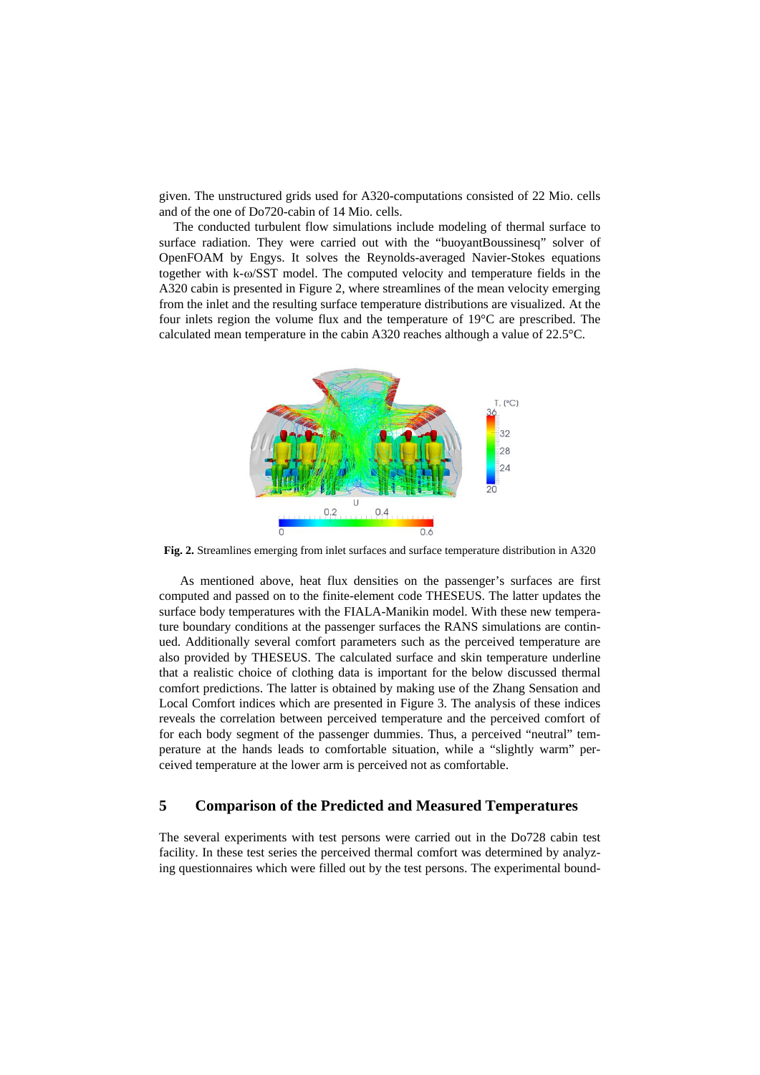given. The unstructured grids used for A320-computations consisted of 22 Mio. cells and of the one of Do720-cabin of 14 Mio. cells.

The conducted turbulent flow simulations include modeling of thermal surface to surface radiation. They were carried out with the "buoyantBoussinesq" solver of OpenFOAM by Engys. It solves the Reynolds-averaged Navier-Stokes equations together with k-ω/SST model. The computed velocity and temperature fields in the A320 cabin is presented in Figure 2, where streamlines of the mean velocity emerging from the inlet and the resulting surface temperature distributions are visualized. At the four inlets region the volume flux and the temperature of  $19^{\circ}$ C are prescribed. The calculated mean temperature in the cabin A320 reaches although a value of 22.5°C.



**Fig. 2.** Streamlines emerging from inlet surfaces and surface temperature distribution in A320

 As mentioned above, heat flux densities on the passenger's surfaces are first computed and passed on to the finite-element code THESEUS. The latter updates the surface body temperatures with the FIALA-Manikin model. With these new temperature boundary conditions at the passenger surfaces the RANS simulations are continued. Additionally several comfort parameters such as the perceived temperature are also provided by THESEUS. The calculated surface and skin temperature underline that a realistic choice of clothing data is important for the below discussed thermal comfort predictions. The latter is obtained by making use of the Zhang Sensation and Local Comfort indices which are presented in Figure 3. The analysis of these indices reveals the correlation between perceived temperature and the perceived comfort of for each body segment of the passenger dummies. Thus, a perceived "neutral" temperature at the hands leads to comfortable situation, while a "slightly warm" perceived temperature at the lower arm is perceived not as comfortable.

# **5 Comparison of the Predicted and Measured Temperatures**

The several experiments with test persons were carried out in the Do728 cabin test facility. In these test series the perceived thermal comfort was determined by analyzing questionnaires which were filled out by the test persons. The experimental bound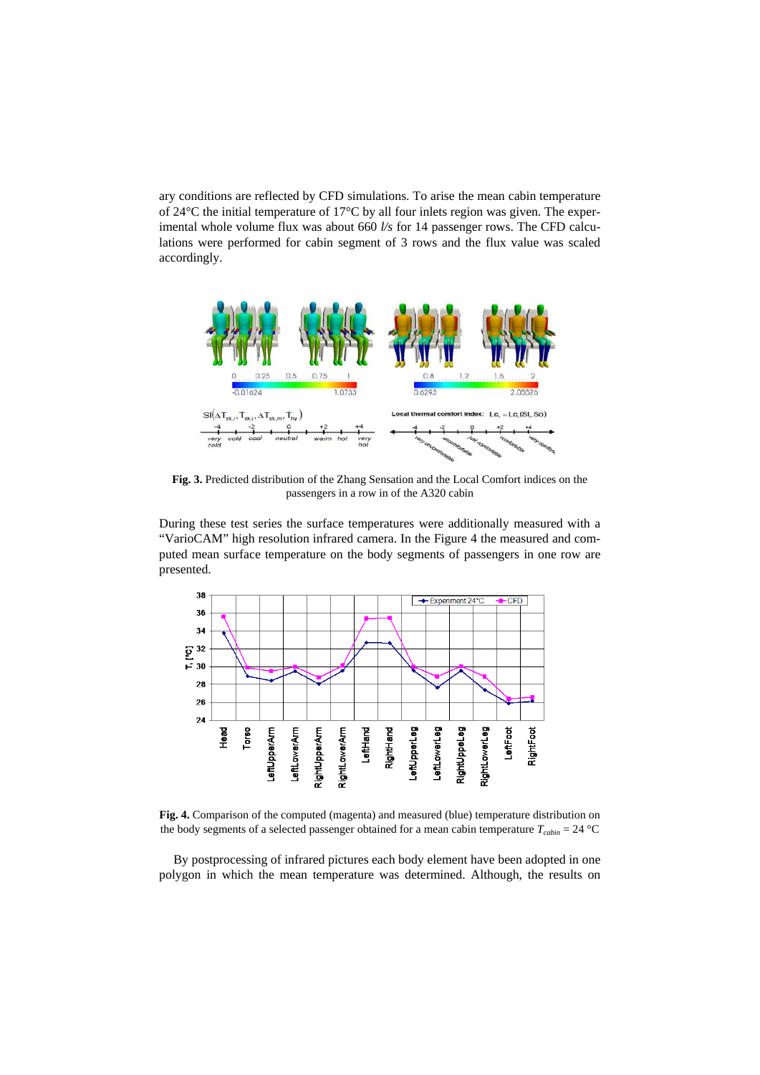ary conditions are reflected by CFD simulations. To arise the mean cabin temperature of 24°C the initial temperature of 17°C by all four inlets region was given. The experimental whole volume flux was about 660 *l/s* for 14 passenger rows. The CFD calculations were performed for cabin segment of 3 rows and the flux value was scaled accordingly.



**Fig. 3.** Predicted distribution of the Zhang Sensation and the Local Comfort indices on the passengers in a row in of the A320 cabin

During these test series the surface temperatures were additionally measured with a "VarioCAM" high resolution infrared camera. In the Figure 4 the measured and computed mean surface temperature on the body segments of passengers in one row are presented.



**Fig. 4.** Comparison of the computed (magenta) and measured (blue) temperature distribution on the body segments of a selected passenger obtained for a mean cabin temperature  $T_{cabin} = 24 \text{ °C}$ 

By postprocessing of infrared pictures each body element have been adopted in one polygon in which the mean temperature was determined. Although, the results on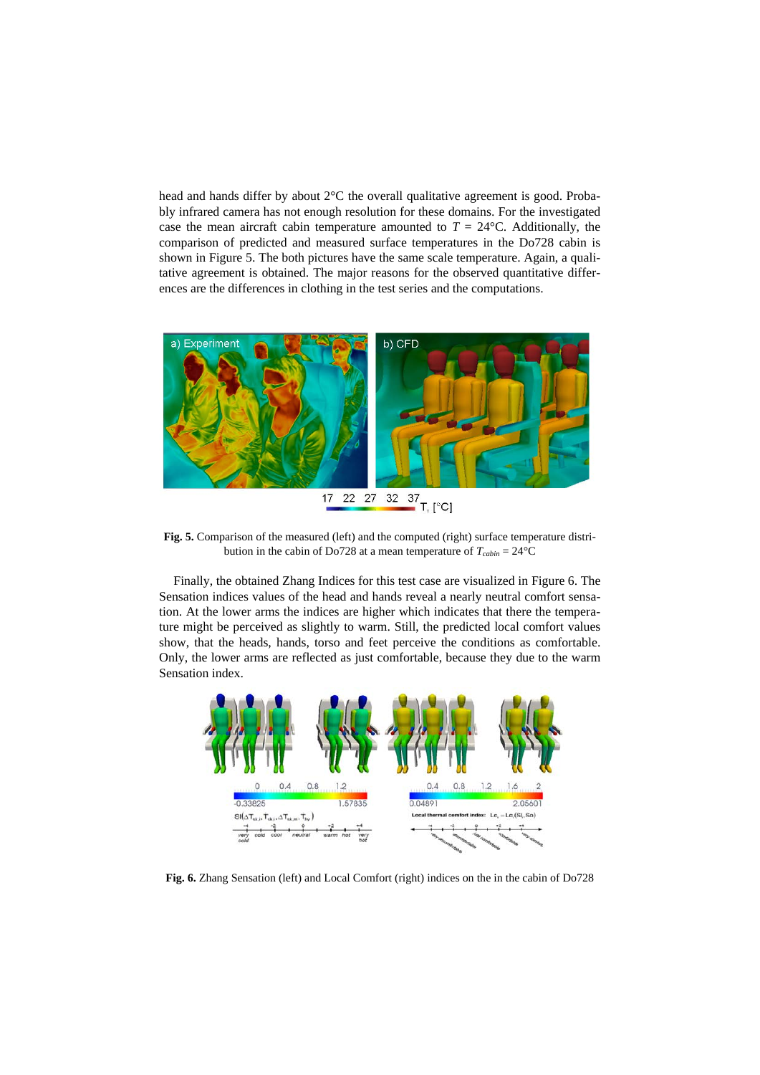head and hands differ by about 2°C the overall qualitative agreement is good. Probably infrared camera has not enough resolution for these domains. For the investigated case the mean aircraft cabin temperature amounted to  $T = 24$ °C. Additionally, the comparison of predicted and measured surface temperatures in the Do728 cabin is shown in Figure 5. The both pictures have the same scale temperature. Again, a qualitative agreement is obtained. The major reasons for the observed quantitative differences are the differences in clothing in the test series and the computations.



**Fig. 5.** Comparison of the measured (left) and the computed (right) surface temperature distribution in the cabin of Do728 at a mean temperature of  $T_{cabin} = 24$ °C

Finally, the obtained Zhang Indices for this test case are visualized in Figure 6. The Sensation indices values of the head and hands reveal a nearly neutral comfort sensation. At the lower arms the indices are higher which indicates that there the temperature might be perceived as slightly to warm. Still, the predicted local comfort values show, that the heads, hands, torso and feet perceive the conditions as comfortable. Only, the lower arms are reflected as just comfortable, because they due to the warm Sensation index.



**Fig. 6.** Zhang Sensation (left) and Local Comfort (right) indices on the in the cabin of Do728